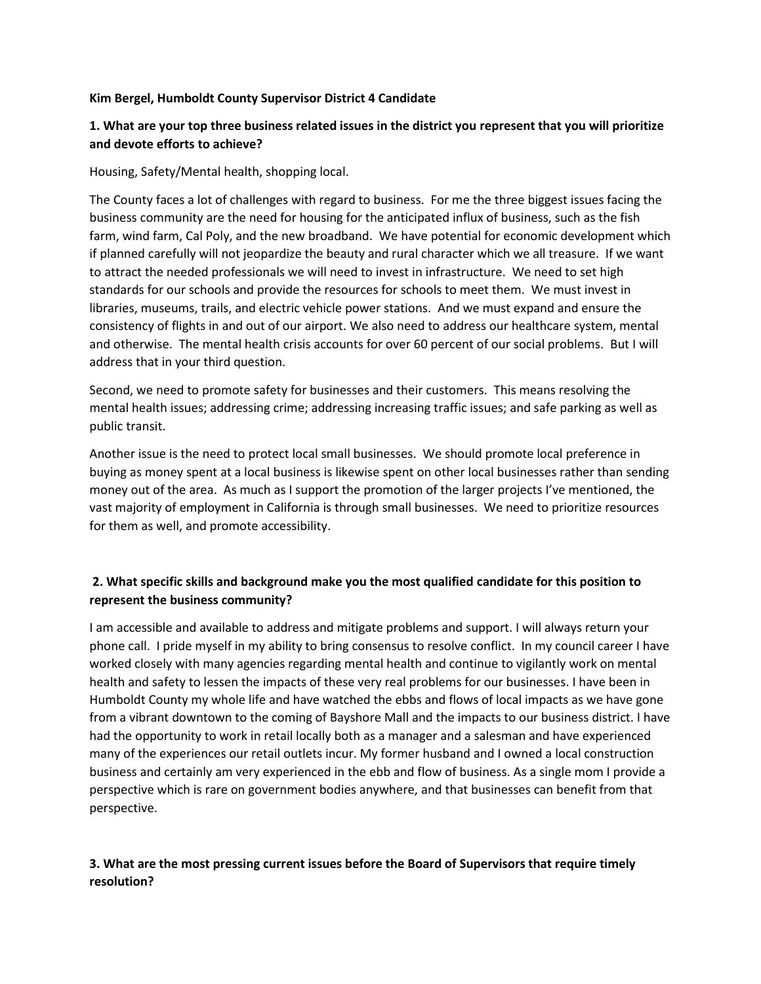## **Kim Bergel, Humboldt County Supervisor District 4 Candidate**

## **1. What are your top three business related issues in the district you represent that you will prioritize and devote efforts to achieve?**

Housing, Safety/Mental health, shopping local.

The County faces a lot of challenges with regard to business. For me the three biggest issues facing the business community are the need for housing for the anticipated influx of business, such as the fish farm, wind farm, Cal Poly, and the new broadband. We have potential for economic development which if planned carefully will not jeopardize the beauty and rural character which we all treasure. If we want to attract the needed professionals we will need to invest in infrastructure. We need to set high standards for our schools and provide the resources for schools to meet them. We must invest in libraries, museums, trails, and electric vehicle power stations. And we must expand and ensure the consistency of flights in and out of our airport. We also need to address our healthcare system, mental and otherwise. The mental health crisis accounts for over 60 percent of our social problems. But I will address that in your third question.

Second, we need to promote safety for businesses and their customers. This means resolving the mental health issues; addressing crime; addressing increasing traffic issues; and safe parking as well as public transit.

Another issue is the need to protect local small businesses. We should promote local preference in buying as money spent at a local business is likewise spent on other local businesses rather than sending money out of the area. As much as I support the promotion of the larger projects I've mentioned, the vast majority of employment in California is through small businesses. We need to prioritize resources for them as well, and promote accessibility.

## **2. What specific skills and background make you the most qualified candidate for this position to represent the business community?**

I am accessible and available to address and mitigate problems and support. I will always return your phone call. I pride myself in my ability to bring consensus to resolve conflict. In my council career I have worked closely with many agencies regarding mental health and continue to vigilantly work on mental health and safety to lessen the impacts of these very real problems for our businesses. I have been in Humboldt County my whole life and have watched the ebbs and flows of local impacts as we have gone from a vibrant downtown to the coming of Bayshore Mall and the impacts to our business district. I have had the opportunity to work in retail locally both as a manager and a salesman and have experienced many of the experiences our retail outlets incur. My former husband and I owned a local construction business and certainly am very experienced in the ebb and flow of business. As a single mom I provide a perspective which is rare on government bodies anywhere, and that businesses can benefit from that perspective.

## **3. What are the most pressing current issues before the Board of Supervisors that require timely resolution?**